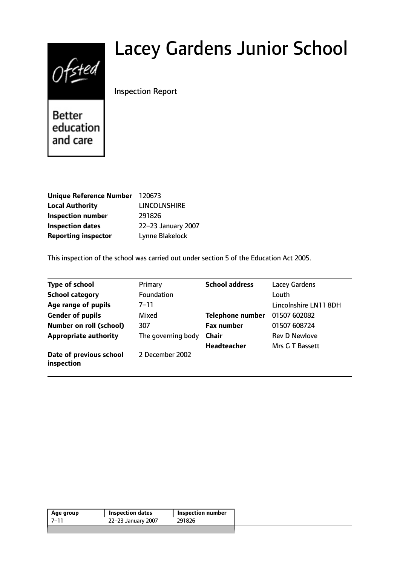# $0$ fsted

# Lacey Gardens Junior School

# Inspection Report

**Better** education and care

| <b>Unique Reference Number</b> | 120673              |
|--------------------------------|---------------------|
| <b>Local Authority</b>         | <b>LINCOLNSHIRE</b> |
| <b>Inspection number</b>       | 291826              |
| <b>Inspection dates</b>        | 22-23 January 2007  |
| <b>Reporting inspector</b>     | Lynne Blakelock     |

This inspection of the school was carried out under section 5 of the Education Act 2005.

| <b>Type of school</b>                 | Primary            | <b>School address</b>   | <b>Lacey Gardens</b>  |
|---------------------------------------|--------------------|-------------------------|-----------------------|
| <b>School category</b>                | Foundation         |                         | Louth                 |
| Age range of pupils                   | 7–11               |                         | Lincolnshire LN11 8DH |
| <b>Gender of pupils</b>               | Mixed              | <b>Telephone number</b> | 01507 602082          |
| <b>Number on roll (school)</b>        | 307                | <b>Fax number</b>       | 01507 608724          |
| <b>Appropriate authority</b>          | The governing body | <b>Chair</b>            | <b>Rev D Newlove</b>  |
|                                       |                    | <b>Headteacher</b>      | Mrs G T Bassett       |
| Date of previous school<br>inspection | 2 December 2002    |                         |                       |

| 291826<br>22-23 January 2007<br>7–11 | Age group | <b>Inspection dates</b> | <b>Inspection number</b> |
|--------------------------------------|-----------|-------------------------|--------------------------|
|                                      |           |                         |                          |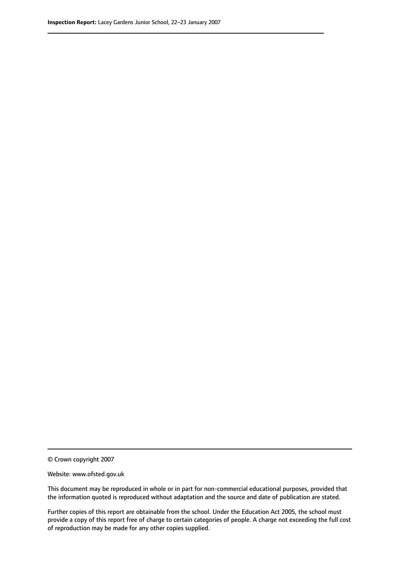© Crown copyright 2007

Website: www.ofsted.gov.uk

This document may be reproduced in whole or in part for non-commercial educational purposes, provided that the information quoted is reproduced without adaptation and the source and date of publication are stated.

Further copies of this report are obtainable from the school. Under the Education Act 2005, the school must provide a copy of this report free of charge to certain categories of people. A charge not exceeding the full cost of reproduction may be made for any other copies supplied.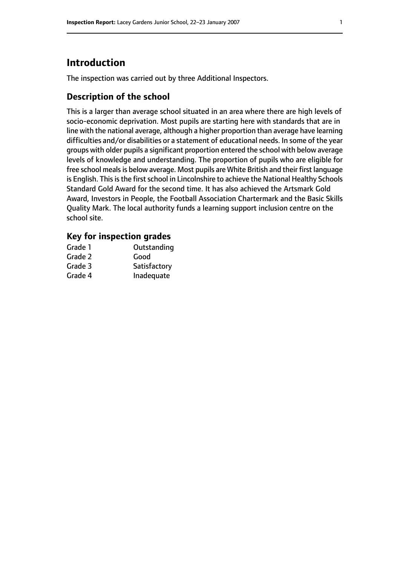# **Introduction**

The inspection was carried out by three Additional Inspectors.

# **Description of the school**

This is a larger than average school situated in an area where there are high levels of socio-economic deprivation. Most pupils are starting here with standards that are in line with the national average, although a higher proportion than average have learning difficulties and/or disabilities or a statement of educational needs. In some of the year groups with older pupils a significant proportion entered the school with below average levels of knowledge and understanding. The proportion of pupils who are eligible for free school meals is below average. Most pupils are White British and their first language is English. This is the first school in Lincolnshire to achieve the National Healthy Schools Standard Gold Award for the second time. It has also achieved the Artsmark Gold Award, Investors in People, the Football Association Chartermark and the Basic Skills Quality Mark. The local authority funds a learning support inclusion centre on the school site.

### **Key for inspection grades**

| Grade 1 | Outstanding  |
|---------|--------------|
| Grade 2 | Good         |
| Grade 3 | Satisfactory |
| Grade 4 | Inadequate   |
|         |              |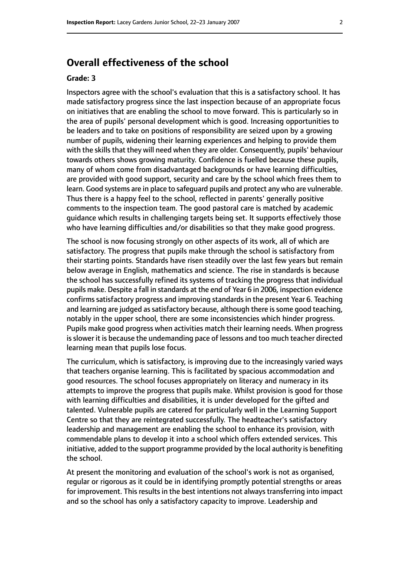# **Overall effectiveness of the school**

#### **Grade: 3**

Inspectors agree with the school's evaluation that this is a satisfactory school. It has made satisfactory progress since the last inspection because of an appropriate focus on initiatives that are enabling the school to move forward. This is particularly so in the area of pupils' personal development which is good. Increasing opportunities to be leaders and to take on positions of responsibility are seized upon by a growing number of pupils, widening their learning experiences and helping to provide them with the skills that they will need when they are older. Consequently, pupils' behaviour towards others shows growing maturity. Confidence is fuelled because these pupils, many of whom come from disadvantaged backgrounds or have learning difficulties, are provided with good support, security and care by the school which frees them to learn. Good systems are in place to safeguard pupils and protect any who are vulnerable. Thus there is a happy feel to the school, reflected in parents' generally positive comments to the inspection team. The good pastoral care is matched by academic guidance which results in challenging targets being set. It supports effectively those who have learning difficulties and/or disabilities so that they make good progress.

The school is now focusing strongly on other aspects of its work, all of which are satisfactory. The progress that pupils make through the school is satisfactory from their starting points. Standards have risen steadily over the last few years but remain below average in English, mathematics and science. The rise in standards is because the school has successfully refined its systems of tracking the progress that individual pupils make. Despite a fall in standards at the end of Year 6 in 2006, inspection evidence confirms satisfactory progress and improving standards in the present Year 6. Teaching and learning are judged as satisfactory because, although there is some good teaching, notably in the upper school, there are some inconsistencies which hinder progress. Pupils make good progress when activities match their learning needs. When progress is slower it is because the undemanding pace of lessons and too much teacher directed learning mean that pupils lose focus.

The curriculum, which is satisfactory, is improving due to the increasingly varied ways that teachers organise learning. This is facilitated by spacious accommodation and good resources. The school focuses appropriately on literacy and numeracy in its attempts to improve the progress that pupils make. Whilst provision is good for those with learning difficulties and disabilities, it is under developed for the gifted and talented. Vulnerable pupils are catered for particularly well in the Learning Support Centre so that they are reintegrated successfully. The headteacher's satisfactory leadership and management are enabling the school to enhance its provision, with commendable plans to develop it into a school which offers extended services. This initiative, added to the support programme provided by the local authority is benefiting the school.

At present the monitoring and evaluation of the school's work is not as organised, regular or rigorous as it could be in identifying promptly potential strengths or areas for improvement. This results in the best intentions not always transferring into impact and so the school has only a satisfactory capacity to improve. Leadership and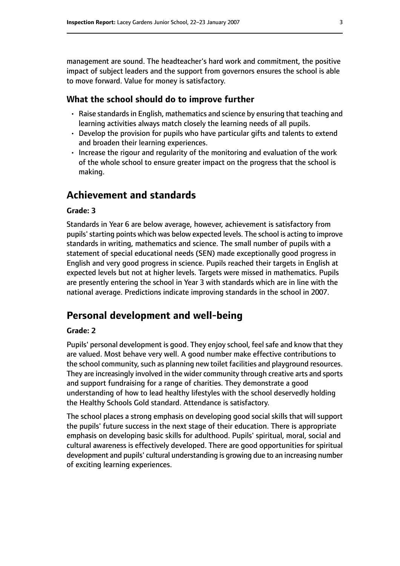management are sound. The headteacher's hard work and commitment, the positive impact of subject leaders and the support from governors ensures the school is able to move forward. Value for money is satisfactory.

#### **What the school should do to improve further**

- Raise standards in English, mathematics and science by ensuring that teaching and learning activities always match closely the learning needs of all pupils.
- Develop the provision for pupils who have particular gifts and talents to extend and broaden their learning experiences.
- Increase the rigour and regularity of the monitoring and evaluation of the work of the whole school to ensure greater impact on the progress that the school is making.

# **Achievement and standards**

#### **Grade: 3**

Standards in Year 6 are below average, however, achievement is satisfactory from pupils'starting points which was below expected levels. The school is acting to improve standards in writing, mathematics and science. The small number of pupils with a statement of special educational needs (SEN) made exceptionally good progress in English and very good progress in science. Pupils reached their targets in English at expected levels but not at higher levels. Targets were missed in mathematics. Pupils are presently entering the school in Year 3 with standards which are in line with the national average. Predictions indicate improving standards in the school in 2007.

# **Personal development and well-being**

#### **Grade: 2**

Pupils' personal development is good. They enjoy school, feel safe and know that they are valued. Most behave very well. A good number make effective contributions to the school community, such as planning new toilet facilities and playground resources. They are increasingly involved in the wider community through creative arts and sports and support fundraising for a range of charities. They demonstrate a good understanding of how to lead healthy lifestyles with the school deservedly holding the Healthy Schools Gold standard. Attendance is satisfactory.

The school places a strong emphasis on developing good social skills that will support the pupils' future success in the next stage of their education. There is appropriate emphasis on developing basic skills for adulthood. Pupils' spiritual, moral, social and cultural awareness is effectively developed. There are good opportunities for spiritual development and pupils' cultural understanding is growing due to an increasing number of exciting learning experiences.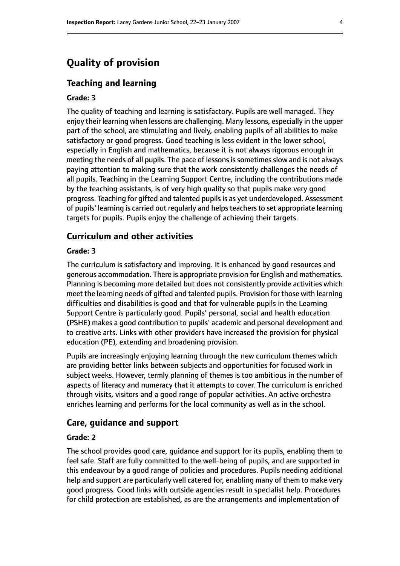# **Quality of provision**

#### **Teaching and learning**

#### **Grade: 3**

The quality of teaching and learning is satisfactory. Pupils are well managed. They enjoy their learning when lessons are challenging. Many lessons, especially in the upper part of the school, are stimulating and lively, enabling pupils of all abilities to make satisfactory or good progress. Good teaching is less evident in the lower school, especially in English and mathematics, because it is not always rigorous enough in meeting the needs of all pupils. The pace of lessons is sometimes slow and is not always paying attention to making sure that the work consistently challenges the needs of all pupils. Teaching in the Learning Support Centre, including the contributions made by the teaching assistants, is of very high quality so that pupils make very good progress. Teaching for gifted and talented pupils is as yet underdeveloped. Assessment of pupils' learning is carried out regularly and helps teachers to set appropriate learning targets for pupils. Pupils enjoy the challenge of achieving their targets.

#### **Curriculum and other activities**

#### **Grade: 3**

The curriculum is satisfactory and improving. It is enhanced by good resources and generous accommodation. There is appropriate provision for English and mathematics. Planning is becoming more detailed but does not consistently provide activities which meet the learning needs of gifted and talented pupils. Provision for those with learning difficulties and disabilities is good and that for vulnerable pupils in the Learning Support Centre is particularly good. Pupils' personal, social and health education (PSHE) makes a good contribution to pupils' academic and personal development and to creative arts. Links with other providers have increased the provision for physical education (PE), extending and broadening provision.

Pupils are increasingly enjoying learning through the new curriculum themes which are providing better links between subjects and opportunities for focused work in subject weeks. However, termly planning of themes is too ambitious in the number of aspects of literacy and numeracy that it attempts to cover. The curriculum is enriched through visits, visitors and a good range of popular activities. An active orchestra enriches learning and performs for the local community as well as in the school.

#### **Care, guidance and support**

#### **Grade: 2**

The school provides good care, guidance and support for its pupils, enabling them to feel safe. Staff are fully committed to the well-being of pupils, and are supported in this endeavour by a good range of policies and procedures. Pupils needing additional help and support are particularly well catered for, enabling many of them to make very good progress. Good links with outside agencies result in specialist help. Procedures for child protection are established, as are the arrangements and implementation of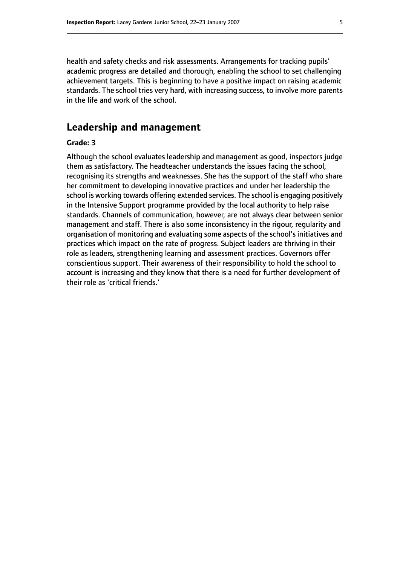health and safety checks and risk assessments. Arrangements for tracking pupils' academic progress are detailed and thorough, enabling the school to set challenging achievement targets. This is beginning to have a positive impact on raising academic standards. The school tries very hard, with increasing success, to involve more parents in the life and work of the school.

## **Leadership and management**

#### **Grade: 3**

Although the school evaluates leadership and management as good, inspectors judge them as satisfactory. The headteacher understands the issues facing the school, recognising its strengths and weaknesses. She has the support of the staff who share her commitment to developing innovative practices and under her leadership the school is working towards offering extended services. The school is engaging positively in the Intensive Support programme provided by the local authority to help raise standards. Channels of communication, however, are not always clear between senior management and staff. There is also some inconsistency in the rigour, regularity and organisation of monitoring and evaluating some aspects of the school's initiatives and practices which impact on the rate of progress. Subject leaders are thriving in their role as leaders, strengthening learning and assessment practices. Governors offer conscientious support. Their awareness of their responsibility to hold the school to account is increasing and they know that there is a need for further development of their role as 'critical friends.'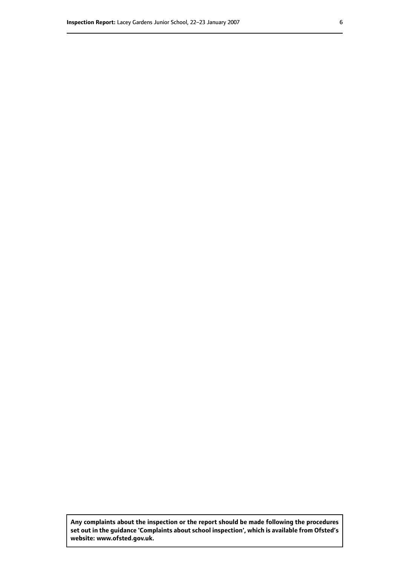**Any complaints about the inspection or the report should be made following the procedures set out inthe guidance 'Complaints about school inspection', whichis available from Ofsted's website: www.ofsted.gov.uk.**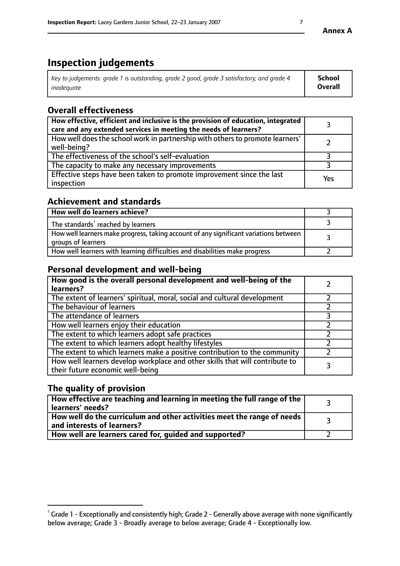# **Inspection judgements**

| Key to judgements: grade 1 is outstanding, grade 2 good, grade 3 satisfactory, and grade 4 | <b>School</b>  |
|--------------------------------------------------------------------------------------------|----------------|
| inadeauate                                                                                 | <b>Overall</b> |

# **Overall effectiveness**

| How effective, efficient and inclusive is the provision of education, integrated<br>care and any extended services in meeting the needs of learners? |     |
|------------------------------------------------------------------------------------------------------------------------------------------------------|-----|
| How well does the school work in partnership with others to promote learners'<br>well-being?                                                         |     |
| The effectiveness of the school's self-evaluation                                                                                                    |     |
| The capacity to make any necessary improvements                                                                                                      |     |
| Effective steps have been taken to promote improvement since the last<br>inspection                                                                  | Yes |

# **Achievement and standards**

| How well do learners achieve?                                                                               |  |
|-------------------------------------------------------------------------------------------------------------|--|
| The standards <sup>1</sup> reached by learners                                                              |  |
| How well learners make progress, taking account of any significant variations between<br>groups of learners |  |
| How well learners with learning difficulties and disabilities make progress                                 |  |

# **Personal development and well-being**

| How good is the overall personal development and well-being of the<br>learners?                                  |  |
|------------------------------------------------------------------------------------------------------------------|--|
| The extent of learners' spiritual, moral, social and cultural development                                        |  |
| The behaviour of learners                                                                                        |  |
| The attendance of learners                                                                                       |  |
| How well learners enjoy their education                                                                          |  |
| The extent to which learners adopt safe practices                                                                |  |
| The extent to which learners adopt healthy lifestyles                                                            |  |
| The extent to which learners make a positive contribution to the community                                       |  |
| How well learners develop workplace and other skills that will contribute to<br>their future economic well-being |  |

# **The quality of provision**

| How effective are teaching and learning in meeting the full range of the<br>learners' needs?            |  |
|---------------------------------------------------------------------------------------------------------|--|
| How well do the curriculum and other activities meet the range of needs  <br>and interests of learners? |  |
| How well are learners cared for, guided and supported?                                                  |  |

 $^1$  Grade 1 - Exceptionally and consistently high; Grade 2 - Generally above average with none significantly below average; Grade 3 - Broadly average to below average; Grade 4 - Exceptionally low.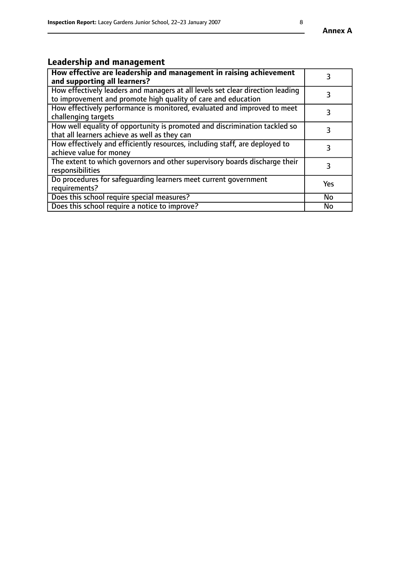# **Leadership and management**

| How effective are leadership and management in raising achievement<br>and supporting all learners?                                              |           |
|-------------------------------------------------------------------------------------------------------------------------------------------------|-----------|
| How effectively leaders and managers at all levels set clear direction leading<br>to improvement and promote high quality of care and education |           |
| How effectively performance is monitored, evaluated and improved to meet<br>challenging targets                                                 | 3         |
| How well equality of opportunity is promoted and discrimination tackled so<br>that all learners achieve as well as they can                     |           |
| How effectively and efficiently resources, including staff, are deployed to<br>achieve value for money                                          | 3         |
| The extent to which governors and other supervisory boards discharge their<br>responsibilities                                                  | 3         |
| Do procedures for safequarding learners meet current government<br>requirements?                                                                | Yes       |
| Does this school require special measures?                                                                                                      | No        |
| Does this school require a notice to improve?                                                                                                   | <b>No</b> |